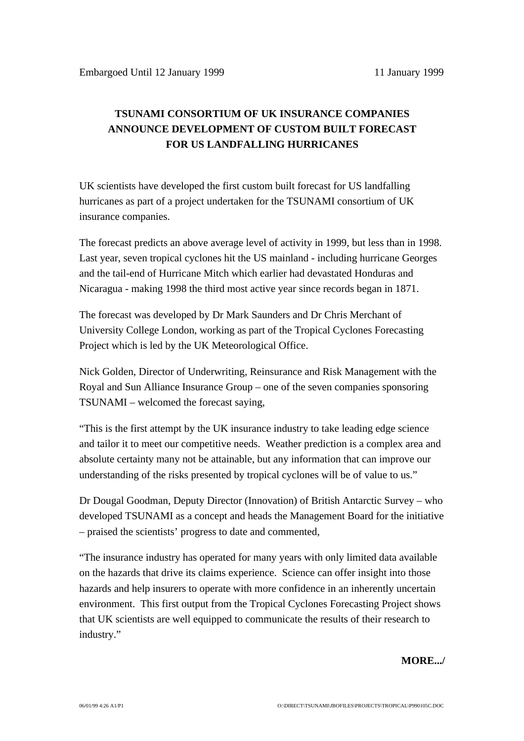## **TSUNAMI CONSORTIUM OF UK INSURANCE COMPANIES ANNOUNCE DEVELOPMENT OF CUSTOM BUILT FORECAST FOR US LANDFALLING HURRICANES**

UK scientists have developed the first custom built forecast for US landfalling hurricanes as part of a project undertaken for the TSUNAMI consortium of UK insurance companies.

The forecast predicts an above average level of activity in 1999, but less than in 1998. Last year, seven tropical cyclones hit the US mainland - including hurricane Georges and the tail-end of Hurricane Mitch which earlier had devastated Honduras and Nicaragua - making 1998 the third most active year since records began in 1871.

The forecast was developed by Dr Mark Saunders and Dr Chris Merchant of University College London, working as part of the Tropical Cyclones Forecasting Project which is led by the UK Meteorological Office.

Nick Golden, Director of Underwriting, Reinsurance and Risk Management with the Royal and Sun Alliance Insurance Group – one of the seven companies sponsoring TSUNAMI – welcomed the forecast saying,

"This is the first attempt by the UK insurance industry to take leading edge science and tailor it to meet our competitive needs. Weather prediction is a complex area and absolute certainty many not be attainable, but any information that can improve our understanding of the risks presented by tropical cyclones will be of value to us."

Dr Dougal Goodman, Deputy Director (Innovation) of British Antarctic Survey – who developed TSUNAMI as a concept and heads the Management Board for the initiative – praised the scientists' progress to date and commented,

"The insurance industry has operated for many years with only limited data available on the hazards that drive its claims experience. Science can offer insight into those hazards and help insurers to operate with more confidence in an inherently uncertain environment. This first output from the Tropical Cyclones Forecasting Project shows that UK scientists are well equipped to communicate the results of their research to industry."

**MORE.../**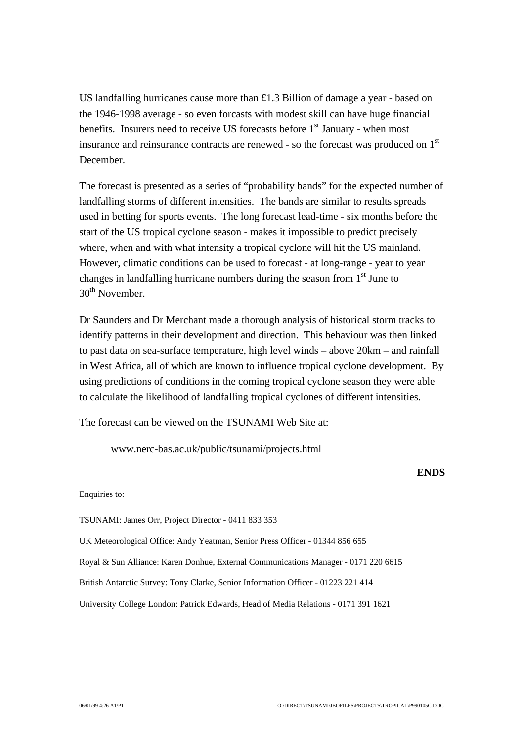US landfalling hurricanes cause more than £1.3 Billion of damage a year - based on the 1946-1998 average - so even forcasts with modest skill can have huge financial benefits. Insurers need to receive US forecasts before  $1<sup>st</sup>$  January - when most insurance and reinsurance contracts are renewed - so the forecast was produced on 1<sup>st</sup> December.

The forecast is presented as a series of "probability bands" for the expected number of landfalling storms of different intensities. The bands are similar to results spreads used in betting for sports events. The long forecast lead-time - six months before the start of the US tropical cyclone season - makes it impossible to predict precisely where, when and with what intensity a tropical cyclone will hit the US mainland. However, climatic conditions can be used to forecast - at long-range - year to year changes in landfalling hurricane numbers during the season from  $1<sup>st</sup>$  June to  $30<sup>th</sup>$  November.

Dr Saunders and Dr Merchant made a thorough analysis of historical storm tracks to identify patterns in their development and direction. This behaviour was then linked to past data on sea-surface temperature, high level winds – above 20km – and rainfall in West Africa, all of which are known to influence tropical cyclone development. By using predictions of conditions in the coming tropical cyclone season they were able to calculate the likelihood of landfalling tropical cyclones of different intensities.

The forecast can be viewed on the TSUNAMI Web Site at:

www.nerc-bas.ac.uk/public/tsunami/projects.html

## **ENDS**

Enquiries to:

TSUNAMI: James Orr, Project Director - 0411 833 353

UK Meteorological Office: Andy Yeatman, Senior Press Officer - 01344 856 655

Royal & Sun Alliance: Karen Donhue, External Communications Manager - 0171 220 6615

British Antarctic Survey: Tony Clarke, Senior Information Officer - 01223 221 414

University College London: Patrick Edwards, Head of Media Relations - 0171 391 1621